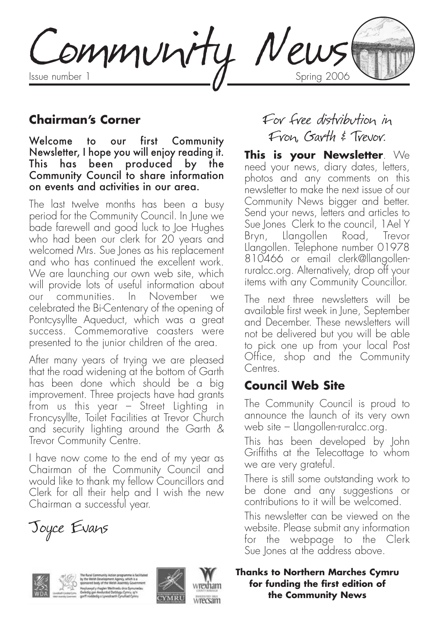Community News

### **Chairman's Corner**

Welcome to our first Community Newsletter, I hope you will enjoy reading it. This has been produced by the Community Council to share information on events and activities in our area.

The last twelve months has been a busy period for the Community Council. In June we bade farewell and good luck to Joe Hughes who had been our clerk for 20 years and welcomed Mrs. Sue Jones as his replacement and who has continued the excellent work. We are launching our own web site, which will provide lots of useful information about our communities. In November we celebrated the Bi-Centenary of the opening of Pontcysyllte Aqueduct, which was a great success. Commemorative coasters were presented to the junior children of the area.

After many years of trying we are pleased that the road widening at the bottom of Garth has been done which should be a big improvement. Three projects have had grants from us this year – Street Lighting in Froncysyllte, Toilet Facilities at Trevor Church and security lighting around the Garth & Trevor Community Centre.

I have now come to the end of my year as Chairman of the Community Council and would like to thank my fellow Councillors and Clerk for all their help and I wish the new Chairman a successful year.

Joyce Evans



ryluswyd y rhaglen Weithredu dros C<br>Vedig gan Awdurdod Datblygu Cymr



# For free distribution in Fron, Garth & Trevor.

**This is your Newsletter**. We need your news, diary dates, letters, photos and any comments on this newsletter to make the next issue of our Community News bigger and better. Send your news, letters and articles to Sue Jones Clerk to the council, 1Ael Y Bryn, Llangollen Road, Trevor Llangollen. Telephone number 01978 810466 or email clerk@llangollenruralcc.org. Alternatively, drop off your items with any Community Councillor.

The next three newsletters will be available first week in June, September and December. These newsletters will not be delivered but you will be able to pick one up from your local Post Office, shop and the Community Centres.

## **Council Web Site**

The Community Council is proud to announce the launch of its very own web site – Llangollen-ruralcc.org.

This has been developed by John Griffiths at the Telecottage to whom we are very grateful.

There is still some outstanding work to be done and any suggestions or contributions to it will be welcomed.

This newsletter can be viewed on the website. Please submit any information for the webpage to the Clerk Sue lones at the address above.

#### **Thanks to Northern Marches Cymru for funding the first edition of the Community News**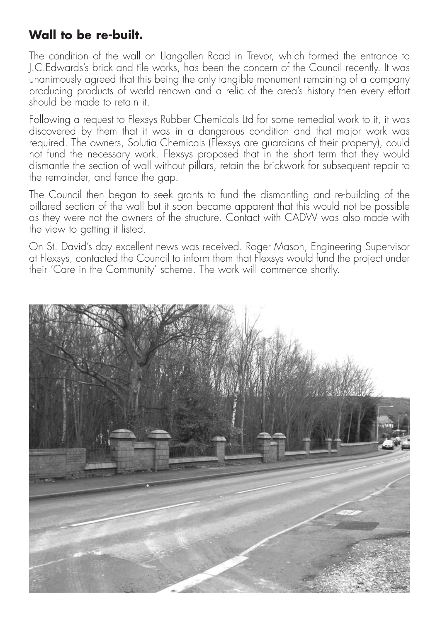## **Wall to be re-built.**

The condition of the wall on Llangollen Road in Trevor, which formed the entrance to J.C.Edwards's brick and tile works, has been the concern of the Council recently. It was unanimously agreed that this being the only tangible monument remaining of a company producing products of world renown and a relic of the area's history then every effort should be made to retain it.

Following a request to Flexsys Rubber Chemicals Ltd for some remedial work to it, it was discovered by them that it was in a dangerous condition and that major work was required. The owners, Solutia Chemicals (Flexsys are quardians of their property), could not fund the necessary work. Flexsys proposed that in the short term that they would dismantle the section of wall without pillars, retain the brickwork for subsequent repair to the remainder, and fence the gap.

The Council then began to seek grants to fund the dismantling and re-building of the pillared section of the wall but it soon became apparent that this would not be possible as they were not the owners of the structure. Contact with CADW was also made with the view to getting it listed.

On St. David's day excellent news was received. Roger Mason, Engineering Supervisor at Flexsys, contacted the Council to inform them that Flexsys would fund the project under their 'Care in the Community' scheme. The work will commence shortly.

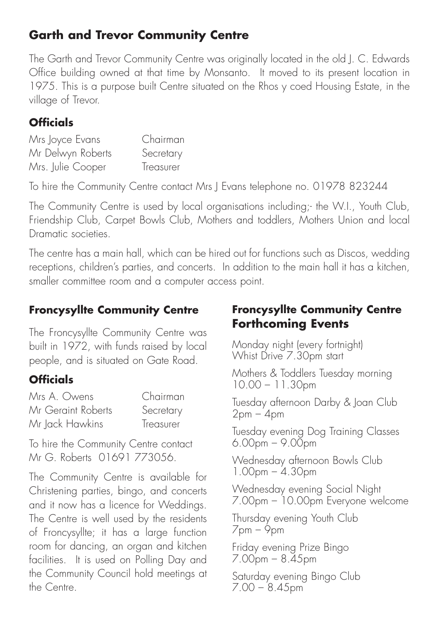## **Garth and Trevor Community Centre**

The Garth and Trevor Community Centre was originally located in the old J. C. Edwards Office building owned at that time by Monsanto. It moved to its present location in 1975. This is a purpose built Centre situated on the Rhos y coed Housing Estate, in the village of Trevor.

## **Officials**

| Mrs Joyce Evans   | Chairman  |
|-------------------|-----------|
| Mr Delwyn Roberts | Secretary |
| Mrs. Julie Cooper | Treasurer |

To hire the Community Centre contact Mrs J Evans telephone no. 01978 823244

The Community Centre is used by local organisations including;- the W.I., Youth Club, Friendship Club, Carpet Bowls Club, Mothers and toddlers, Mothers Union and local Dramatic societies.

The centre has a main hall, which can be hired out for functions such as Discos, wedding receptions, children's parties, and concerts. In addition to the main hall it has a kitchen, smaller committee room and a computer access point.

## **Froncysyllte Community Centre**

The Froncysyllte Community Centre was built in 1972, with funds raised by local people, and is situated on Gate Road.

## **Officials**

| Mrs A. Owens       | Chairman  |
|--------------------|-----------|
| Mr Geraint Roberts | Secretary |
| Mr Jack Hawkins    | Treasurer |

To hire the Community Centre contact Mr G. Roberts 01691 773056.

The Community Centre is available for Christening parties, bingo, and concerts and it now has a licence for Weddings. The Centre is well used by the residents of Froncysyllte; it has a large function room for dancing, an organ and kitchen facilities. It is used on Polling Day and the Community Council hold meetings at the Centre.

## **Froncysyllte Community Centre Forthcoming Events**

Monday night (every fortnight) Whist Drive 7.30pm start

Mothers & Toddlers Tuesday morning 10.00 – 11.30pm

Tuesday afternoon Darby & Joan Club  $2pm - 4pm$ 

Tuesday evening Dog Training Classes  $6.00<sub>pm</sub> - 9.00<sub>pm</sub>$ 

Wednesday afternoon Bowls Club  $1.00$ pm –  $4.30$ pm

Wednesday evening Social Night 7.00pm – 10.00pm Everyone welcome

Thursday evening Youth Club  $7$ pm –  $\varphi$ pm

Friday evening Prize Bingo 7.00pm – 8.45pm

Saturday evening Bingo Club 7.00 – 8.45pm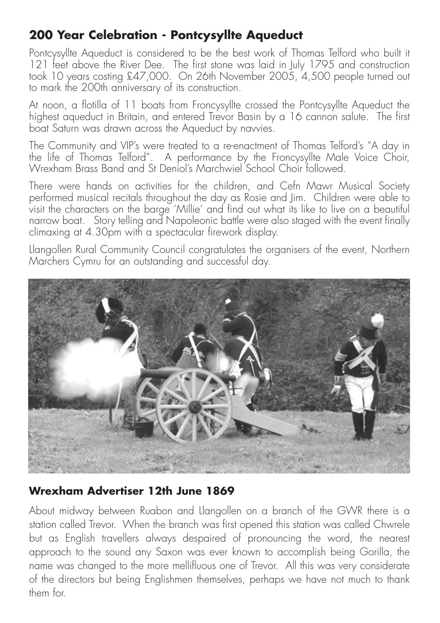## **200 Year Celebration - Pontcysyllte Aqueduct**

Pontcysyllte Aqueduct is considered to be the best work of Thomas Telford who built it 121 feet above the River Dee. The first stone was laid in July 1795 and construction took 10 years costing £47,000. On 26th November 2005, 4,500 people turned out to mark the 200th anniversary of its construction.

At noon, a flotilla of 11 boats from Froncysyllte crossed the Pontcysyllte Aqueduct the highest aqueduct in Britain, and entered Trevor Basin by a 16 cannon salute. The first boat Saturn was drawn across the Aqueduct by nawies.

The Community and VIP's were treated to a re-enactment of Thomas Telford's "A day in the life of Thomas Telford". A performance by the Froncysyllte Male Voice Choir, Wrexham Brass Band and St Deniol's Marchwiel School Choir followed.

There were hands on activities for the children, and Cefn Mawr Musical Society performed musical recitals throughout the day as Rosie and Jim. Children were able to visit the characters on the barge 'Millie' and find out what its like to live on a beautiful narrow boat. Story telling and Napoleonic battle were also staged with the event finally  $climaxing$  at 4.30 $p$ m with a spectacular firework display.

Llangollen Rural Community Council congratulates the organisers of the event, Northern Marchers Cymru for an outstanding and successful day.



## **Wrexham Advertiser 12th June 1869**

About midway between Ruabon and Llangollen on a branch of the GWR there is a station called Trevor. When the branch was first opened this station was called Chwrele but as English travellers always despaired of pronouncing the word, the nearest approach to the sound any Saxon was ever known to accomplish being Gorilla, the name was changed to the more mellifluous one of Trevor. All this was very considerate of the directors but being Englishmen themselves, perhaps we have not much to thank them for.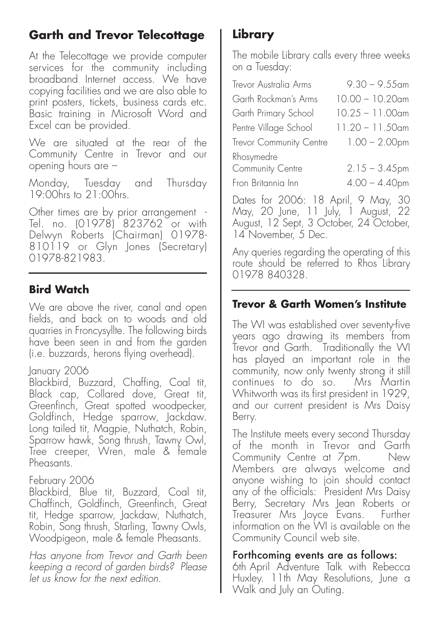# **Garth and Trevor Telecottage**

At the Telecottage we provide computer services for the community including broadband Internet access. We have copying facilities and we are also able to print posters, tickets, business cards etc. Basic training in Microsoft Word and Excel can be provided.

We are situated at the rear of the Community Centre in Trevor and our opening hours are –

Monday, Tuesday and Thursday 19:00hrs to 21:00hrs.

Other times are by prior arrangement - Tel. no. (01978) 823762 or with Delwyn Roberts (Chairman) 01978- 810119 or Glyn Jones (Secretary) 01978-821983.

## **Bird Watch**

We are above the river, canal and open fields, and back on to woods and old quarries in Froncysyllte. The following birds have been seen in and from the aarden (i.e. buzzards, herons flying overhead).

### January 2006

Blackbird, Buzzard, Chaffing, Coal tit, Black cap, Collared dove, Great tit, Greenfinch, Great spotted woodpecker, Goldfinch, Hedge sparrow, Jackdaw. Long tailed tit, Magpie, Nuthatch, Robin, Sparrow hawk, Song thrush, Tawny Owl, Tree creeper, Wren, male & female **Pheasants** 

### February 2006

Blackbird, Blue tit, Buzzard, Coal tit, Chaffinch, Goldfinch, Greenfinch, Great tit, Hedge sparrow, Jackdaw, Nuthatch, Robin, Song thrush, Starling, Tawny Owls, Woodpigeon, male & female Pheasants.

Has anyone from Trevor and Garth been keeping a record of garden birds? Please let us know for the next edition.

# **Library**

The mobile Library calls every three weeks on a Tuesday:

| Trevor Australia Arms                                | $9.30 - 9.55$ am                     |
|------------------------------------------------------|--------------------------------------|
| Garth Rockman's Arms                                 | $10.00 - 10.20$ am                   |
| Garth Primary School                                 | $10.25 - 11.00$ am                   |
| Pentre Village School                                | $11.20 - 11.50$ am                   |
| Trevor Community Centre                              | $1.00 - 2.00$ pm                     |
| Rhosymedre<br>Community Centre<br>Fron Britannia Inn | $2.15 - 3.45$ pm<br>$4.00 - 4.40$ pm |

Dates for 2006: 18 April, 9 May, 30 May, 20 June, 11 July, 1 August, 22 August, 12 Sept, 3 October, 24 October, 14 November, 5 Dec.

Any queries regarding the operating of this route should be referred to Rhos Library 01978 840328.

## **Trevor & Garth Women's Institute**

The WI was established over seventy-five years ago drawing its members from Trevor and Garth. Traditionally the WI has played an important role in the community, now only twenty strong it still continues to do so. Mrs Martin Whitworth was its first president in 1929, and our current president is Mrs Daisy Berry.

The Institute meets every second Thursday of the month in Trevor and Garth Community Centre at 7pm. Members are always welcome and anyone wishing to join should contact any of the officials: President Mrs Daisy Berry, Secretary Mrs Jean Roberts or Treasurer Mrs Joyce Evans. Further information on the WI is available on the Community Council web site.

### Forthcoming events are as follows:

6th April Adventure Talk with Rebecca Huxley. 11th May Resolutions, June a Walk and July an Outing.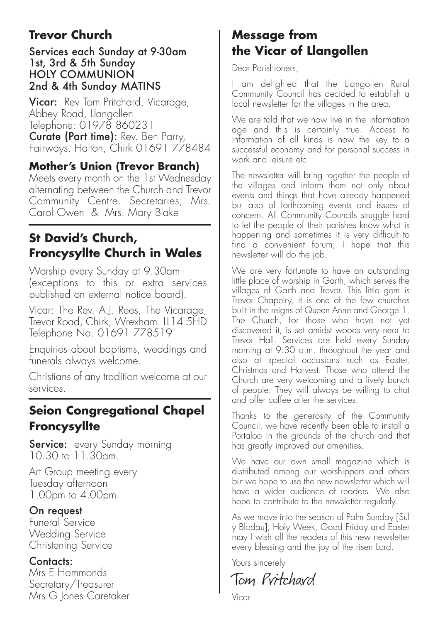# **Trevor Church**

#### Services each Sunday at 9-30am 1st, 3rd & 5th Sunday HOLY COMMUNION 2nd & 4th Sunday MATINS

**Vicar:** Rev Tom Pritchard, Vicarage, Abbey Road, Llangollen Telephone: 01978 860231 Curate (Part time): Rev. Ben Parry, Fairways, Halton, Chirk 01691 778484

### **Mother's Union (Trevor Branch)**

Meets every month on the 1st Wednesday alternating between the Church and Trevor Community Centre. Secretaries; Mrs. Carol Owen & Mrs. Mary Blake

## **St David's Church, Froncysyllte Church in Wales**

Worship every Sunday at 9.30am (exceptions to this or extra services published on external notice board).

Vicar: The Rev. A.J. Rees, The Vicarage, Trevor Road, Chirk, Wrexham. LL14 5HD Telephone No. 01691 778519

Enquiries about baptisms, weddings and funerals always welcome.

Christians of any tradition welcome at our services.

## **Seion Congregational Chapel Froncysyllte**

**Service:** every Sunday morning 10.30 to 11.30am.

Art Group meeting every Tuesday afternoon 1.00pm to 4.00pm.

#### On request

Funeral Service Wedding Service Christening Service

### Contacts:

Mrs E Hammonds Secretary/Treasurer Mrs G Jones Caretaker

## **Message from the Vicar of Llangollen**

Dear Parishioners,

I am delighted that the Llangollen Rural Community Council has decided to establish a local newsletter for the villages in the area.

We are told that we now live in the information age and this is certainly true. Access to information of all kinds is now the key to a successful economy and for personal success in work and leisure etc.

The newsletter will bring together the people of the villages and inform them not only about events and things that have already happened but also of forthcoming events and issues of concern. All Community Councils struggle hard to let the people of their parishes know what is happening and sometimes it is very difficult to find a convenient forum; I hope that this newsletter will do the job.

We are very fortunate to have an outstanding little place of worship in Garth, which serves the villages of Garth and Trevor. This little gem is Trevor Chapelry, it is one of the few churches built in the reigns of Queen Anne and George 1. The Church, for those who have not yet discovered it, is set amidst woods very near to Trevor Hall. Services are held every Sunday morning at 9.30 a.m. throughout the year and also at special occasions such as Easter, Christmas and Harvest. Those who attend the Church are very welcoming and a lively bunch of people. They will always be willing to chat and offer coffee after the services.

Thanks to the generosity of the Community Council, we have recently been able to install a Portaloo in the grounds of the church and that has greatly improved our amenities.

We have our own small magazine which is distributed among our worshippers and others but we hope to use the new newsletter which will have a wider audience of readers. We also hope to contribute to the newsletter regularly.

As we move into the season of Palm Sunday [Sul y Blodau], Holy Week, Good Friday and Easter may I wish all the readers of this new newsletter every blessing and the joy of the risen Lord.

Yours sincerely

Tom Pritchard

Vicar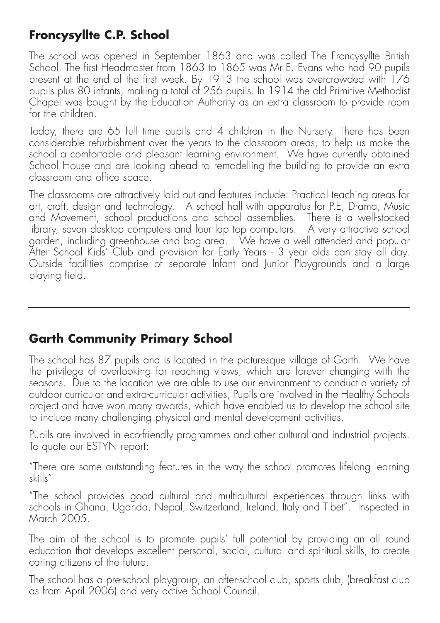## **Froncysyllte C.P. School**

The school was opened in September 1863 and was called The Froncysyllte British School. The first Headmaster from 1863 to 1865 was Mr E. Evans who had 90 pupils present at the end of the first week. By 1913 the school was overcrowded with 176 pupils plus 80 infants, making a total of 256 pupils. In 1914 the old Primitive Methodist Chapel was bought by the Education Authority as an extra classroom to provide room for the children.

Today, there are 65 full time pupils and 4 children in the Nursery. There has been considerable refurbishment over the years to the classroom areas, to help us make the school a comfortable and pleasant learning environment. We have currently obtained School House and are looking ahead to remodelling the building to provide an extra classroom and office space.

The classrooms are attractively laid out and features include: Practical teaching areas for art, craft, design and technology. A school hall with apparatus for P.E, Drama, Music and Movement, school productions and school assemblies. There is a well-stocked library, seven desktop computers and four lap top computers. A very attractive school garden, including greenhouse and bog area. We have a well attended and popular After School Kids' Club and provision for Early Years - 3 year olds can stay all day. Outside facilities comprise of separate Infant and Junior Playgrounds and a large playing field.

## **Garth Community Primary School**

The school has 87 pupils and is located in the picturesque village of Garth. We have the privilege of overlooking far reaching views, which are forever changing with the seasons. Due to the location we are able to use our environment to conduct a variety of outdoor curricular and extra-curricular activities, Pupils are involved in the Healthy Schools project and have won many awards, which have enabled us to develop the school site to include many challenging physical and mental development activities.

Pupils are involved in eco-friendly programmes and other cultural and industrial projects. To quote our ESTYN report:

"There are some outstanding features in the way the school promotes lifelong learning skills"

"The school provides good cultural and multicultural experiences through links with schools in Ghana, Uganda, Nepal, Switzerland, Ireland, Italy and Tibet". Inspected in March 2005.

The aim of the school is to promote pupils' full potential by providing an all round education that develops excellent personal, social, cultural and spiritual skills, to create caring citizens of the future.

The school has a pre-school playgroup, an after-school club, sports club, (breakfast club as from April 2006) and very active School Council.